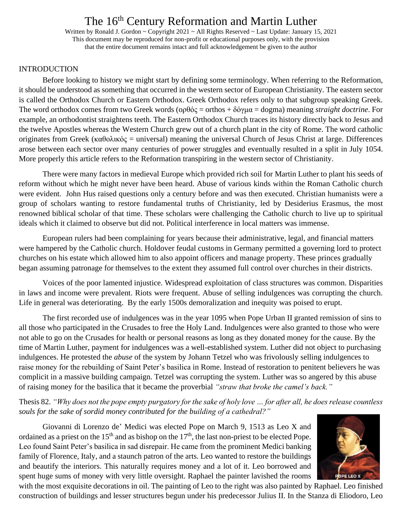Written by Ronald J. Gordon ~ Copyright 2021 ~ All Rights Reserved ~ Last Update: January 15, 2021 This document may be reproduced for non-profit or educational purposes only, with the provision that the entire document remains intact and full acknowledgement be given to the author

#### INTRODUCTION

Before looking to history we might start by defining some terminology. When referring to the Reformation, it should be understood as something that occurred in the western sector of European Christianity. The eastern sector is called the Orthodox Church or Eastern Orthodox. Greek Orthodox refers only to that subgroup speaking Greek. The word orthodox comes from two Greek words (oρθός = orthos + δόγμα = dogma) meaning *straight doctrine*. For example, an orthodontist straightens teeth. The Eastern Orthodox Church traces its history directly back to Jesus and the twelve Apostles whereas the Western Church grew out of a church plant in the city of Rome. The word catholic originates from Greek (καθολικός = universal) meaning the universal Church of Jesus Christ at large. Differences arose between each sector over many centuries of power struggles and eventually resulted in a split in July 1054. More properly this article refers to the Reformation transpiring in the western sector of Christianity.

There were many factors in medieval Europe which provided rich soil for Martin Luther to plant his seeds of reform without which he might never have been heard. Abuse of various kinds within the Roman Catholic church were evident. John Hus raised questions only a century before and was then executed. Christian humanists were a group of scholars wanting to restore fundamental truths of Christianity, led by Desiderius Erasmus, the most renowned biblical scholar of that time. These scholars were challenging the Catholic church to live up to spiritual ideals which it claimed to observe but did not. Political interference in local matters was immense.

European rulers had been complaining for years because their administrative, legal, and financial matters were hampered by the Catholic church. Holdover feudal customs in Germany permitted a governing lord to protect churches on his estate which allowed him to also appoint officers and manage property. These princes gradually began assuming patronage for themselves to the extent they assumed full control over churches in their districts.

Voices of the poor lamented injustice. Widespread exploitation of class structures was common. Disparities in laws and income were prevalent. Riots were frequent. Abuse of selling indulgences was corrupting the church. Life in general was deteriorating. By the early 1500s demoralization and inequity was poised to erupt.

The first recorded use of indulgences was in the year 1095 when Pope Urban II granted remission of sins to all those who participated in the Crusades to free the Holy Land. Indulgences were also granted to those who were not able to go on the Crusades for health or personal reasons as long as they donated money for the cause. By the time of Martin Luther, payment for indulgences was a well-established system. Luther did not object to purchasing indulgences. He protested the *abuse* of the system by Johann Tetzel who was frivolously selling indulgences to raise money for the rebuilding of Saint Peter's basilica in Rome. Instead of restoration to penitent believers he was complicit in a massive building campaign. Tetzel was corrupting the system. Luther was so angered by this abuse of raising money for the basilica that it became the proverbial *"straw that broke the camel's back."*

Thesis 82. *"Why does not the pope empty purgatory for the sake of holy love … for after all, he does release countless souls for the sake of sordid money contributed for the building of a cathedral?"*

Giovanni di Lorenzo de' Medici was elected Pope on March 9, 1513 as Leo X and ordained as a priest on the  $15<sup>th</sup>$  and as bishop on the  $17<sup>th</sup>$ , the last non-priest to be elected Pope. Leo found Saint Peter's basilica in sad disrepair. He came from the prominent Medici banking family of Florence, Italy, and a staunch patron of the arts. Leo wanted to restore the buildings and beautify the interiors. This naturally requires money and a lot of it. Leo borrowed and spent huge sums of money with very little oversight. Raphael the painter lavished the rooms



with the most exquisite decorations in oil. The painting of Leo to the right was also painted by Raphael. Leo finished construction of buildings and lesser structures begun under his predecessor Julius II. In the Stanza di Eliodoro, Leo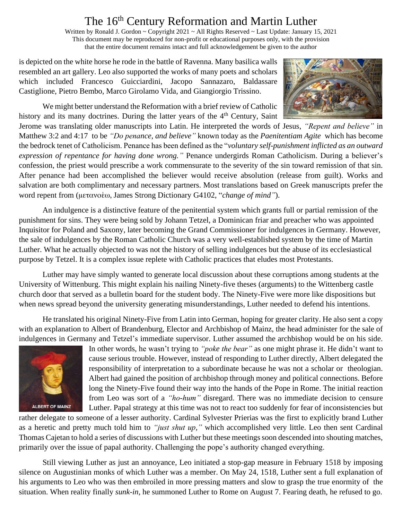Written by Ronald J. Gordon ~ Copyright 2021 ~ All Rights Reserved ~ Last Update: January 15, 2021 This document may be reproduced for non-profit or educational purposes only, with the provision that the entire document remains intact and full acknowledgement be given to the author

is depicted on the white horse he rode in the battle of Ravenna. Many basilica walls resembled an art gallery. Leo also supported the works of many poets and scholars which included Francesco Guicciardini, Jacopo Sannazaro, Baldassare Castiglione, Pietro Bembo, Marco Girolamo Vida, and Giangiorgio Trissino.

We might better understand the Reformation with a brief review of Catholic history and its many doctrines. During the latter years of the  $4<sup>th</sup>$  Century. Saint



Jerome was translating older manuscripts into Latin. He interpreted the words of Jesus, *"Repent and believe"* in Matthew 3:2 and 4:17 to be *"Do penance, and believe"* known today as the *Paenitentiam Agite* which has become the bedrock tenet of Catholicism. Penance has been defined as the "*voluntary self-punishment inflicted as an outward expression of repentance for having done wrong."* Penance undergirds Roman Catholicism. During a believer's confession, the priest would prescribe a work commensurate to the severity of the sin toward remission of that sin. After penance had been accomplished the believer would receive absolution (release from guilt). Works and salvation are both complimentary and necessary partners. Most translations based on Greek manuscripts prefer the word repent from (μετανοέω, James Strong Dictionary G4102, "*change of mind"*).

An indulgence is a distinctive feature of the penitential system which grants full or partial remission of the punishment for sins. They were being sold by Johann Tetzel, a Dominican friar and preacher who was appointed Inquisitor for Poland and Saxony, later becoming the Grand Commissioner for indulgences in Germany. However, the sale of indulgences by the Roman Catholic Church was a very well-established system by the time of Martin Luther. What he actually objected to was not the history of selling indulgences but the abuse of its ecclesiastical purpose by Tetzel. It is a complex issue replete with Catholic practices that eludes most Protestants.

Luther may have simply wanted to generate local discussion about these corruptions among students at the University of Wittenburg. This might explain his nailing Ninety-five theses (arguments) to the Wittenberg castle church door that served as a bulletin board for the student body. The Ninety-Five were more like dispositions but when news spread beyond the university generating misunderstandings, Luther needed to defend his intentions.

He translated his original Ninety-Five from Latin into German, hoping for greater clarity. He also sent a copy with an explanation to Albert of Brandenburg, Elector and Archbishop of Mainz, the head administer for the sale of indulgences in Germany and Tetzel's immediate supervisor. Luther assumed the archbishop would be on his side.



In other words, he wasn't trying to *"poke the bear"* as one might phrase it. He didn't want to cause serious trouble. However, instead of responding to Luther directly, Albert delegated the responsibility of interpretation to a subordinate because he was not a scholar or theologian. Albert had gained the position of archbishop through money and political connections. Before long the Ninety-Five found their way into the hands of the Pope in Rome. The initial reaction from Leo was sort of a *"ho-hum"* disregard. There was no immediate decision to censure Luther. Papal strategy at this time was not to react too suddenly for fear of inconsistencies but

rather delegate to someone of a lesser authority. Cardinal Sylvester Prierias was the first to explicitly brand Luther as a heretic and pretty much told him to *"just shut up,"* which accomplished very little. Leo then sent Cardinal Thomas Cajetan to hold a series of discussions with Luther but these meetings soon descended into shouting matches, primarily over the issue of papal authority. Challenging the pope's authority changed everything.

Still viewing Luther as just an annoyance, Leo initiated a stop-gap measure in February 1518 by imposing silence on Augustinian monks of which Luther was a member. On May 24, 1518, Luther sent a full explanation of his arguments to Leo who was then embroiled in more pressing matters and slow to grasp the true enormity of the situation. When reality finally *sunk-in,* he summoned Luther to Rome on August 7. Fearing death, he refused to go.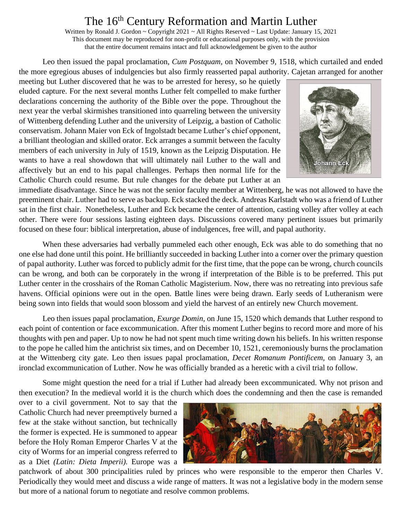Written by Ronald J. Gordon ~ Copyright 2021 ~ All Rights Reserved ~ Last Update: January 15, 2021 This document may be reproduced for non-profit or educational purposes only, with the provision that the entire document remains intact and full acknowledgement be given to the author

Leo then issued the papal proclamation, *Cum Postquam,* on November 9, 1518, which curtailed and ended the more egregious abuses of indulgencies but also firmly reasserted papal authority. Cajetan arranged for another

meeting but Luther discovered that he was to be arrested for heresy, so he quietly eluded capture. For the next several months Luther felt compelled to make further declarations concerning the authority of the Bible over the pope. Throughout the next year the verbal skirmishes transitioned into quarreling between the university of Wittenberg defending Luther and the university of Leipzig, a bastion of Catholic conservatism. Johann Maier von Eck of Ingolstadt became Luther's chief opponent, a brilliant theologian and skilled orator. Eck arranges a summit between the faculty members of each university in July of 1519, known as the Leipzig Disputation. He wants to have a real showdown that will ultimately nail Luther to the wall and affectively but an end to his papal challenges. Perhaps then normal life for the Catholic Church could resume. But rule changes for the debate put Luther at an



immediate disadvantage. Since he was not the senior faculty member at Wittenberg, he was not allowed to have the preeminent chair. Luther had to serve as backup. Eck stacked the deck. Andreas Karlstadt who was a friend of Luther sat in the first chair. Nonetheless, Luther and Eck became the center of attention, casting volley after volley at each other. There were four sessions lasting eighteen days. Discussions covered many pertinent issues but primarily focused on these four: biblical interpretation, abuse of indulgences, free will, and papal authority.

When these adversaries had verbally pummeled each other enough, Eck was able to do something that no one else had done until this point. He brilliantly succeeded in backing Luther into a corner over the primary question of papal authority. Luther was forced to publicly admit for the first time, that the pope can be wrong, church councils can be wrong, and both can be corporately in the wrong if interpretation of the Bible is to be preferred. This put Luther center in the crosshairs of the Roman Catholic Magisterium. Now, there was no retreating into previous safe havens. Official opinions were out in the open. Battle lines were being drawn. Early seeds of Lutheranism were being sown into fields that would soon blossom and yield the harvest of an entirely new Church movement.

Leo then issues papal proclamation, *Exurge Domin,* on June 15, 1520 which demands that Luther respond to each point of contention or face excommunication. After this moment Luther begins to record more and more of his thoughts with pen and paper. Up to now he had not spent much time writing down his beliefs. In his written response to the pope he called him the antichrist six times, and on December 10, 1521, ceremoniously burns the proclamation at the Wittenberg city gate. Leo then issues papal proclamation, *Decet Romanum Pontificem,* on January 3, an ironclad excommunication of Luther. Now he was officially branded as a heretic with a civil trial to follow.

Some might question the need for a trial if Luther had already been excommunicated. Why not prison and then execution? In the medieval world it is the church which does the condemning and then the case is remanded

over to a civil government. Not to say that the Catholic Church had never preemptively burned a few at the stake without sanction, but technically the former is expected. He is summoned to appear before the Holy Roman Emperor Charles V at the city of Worms for an imperial congress referred to as a Diet *(Latin: Dieta Imperii).* Europe was a



patchwork of about 300 principalities ruled by princes who were responsible to the emperor then Charles V. Periodically they would meet and discuss a wide range of matters. It was not a legislative body in the modern sense but more of a national forum to negotiate and resolve common problems.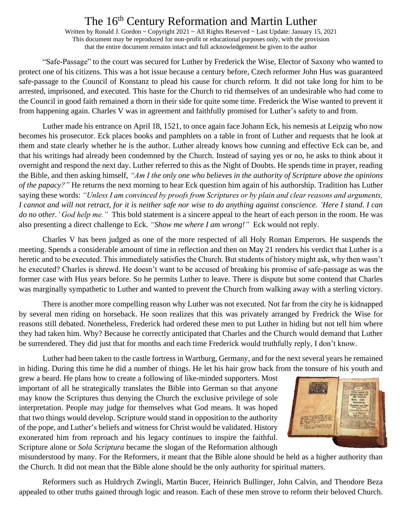Written by Ronald J. Gordon ~ Copyright 2021 ~ All Rights Reserved ~ Last Update: January 15, 2021 This document may be reproduced for non-profit or educational purposes only, with the provision that the entire document remains intact and full acknowledgement be given to the author

"Safe-Passage" to the court was secured for Luther by Frederick the Wise, Elector of Saxony who wanted to protect one of his citizens. This was a hot issue because a century before, Czech reformer John Hus was guaranteed safe-passage to the Council of Konstanz to plead his cause for church reform. It did not take long for him to be arrested, imprisoned, and executed. This haste for the Church to rid themselves of an undesirable who had come to the Council in good faith remained a thorn in their side for quite some time. Frederick the Wise wanted to prevent it from happening again. Charles V was in agreement and faithfully promised for Luther's safety to and from.

Luther made his entrance on April 18, 1521, to once again face Johann Eck, his nemesis at Leipzig who now becomes his prosecutor. Eck places books and pamphlets on a table in front of Luther and requests that he look at them and state clearly whether he is the author. Luther already knows how cunning and effective Eck can be, and that his writings had already been condemned by the Church. Instead of saying yes or no, he asks to think about it overnight and respond the next day. Luther referred to this as the Night of Doubts. He spends time in prayer, reading the Bible, and then asking himself, *"Am I the only one who believes in the authority of Scripture above the opinions of the papacy?"* He returns the next morning to hear Eck question him again of his authorship. Tradition has Luther saying these words: *"Unless I am convinced by proofs from Scriptures or by plain and clear reasons and arguments, I cannot and will not retract, for it is neither safe nor wise to do anything against conscience. 'Here I stand. I can do no other.' God help me."* This bold statement is a sincere appeal to the heart of each person in the room. He was also presenting a direct challenge to Eck. *"Show me where I am wrong!"* Eck would not reply.

Charles V has been judged as one of the more respected of all Holy Roman Emperors. He suspends the meeting. Spends a considerable amount of time in reflection and then on May 21 renders his verdict that Luther is a heretic and to be executed. This immediately satisfies the Church. But students of history might ask, why then wasn't he executed? Charles is shrewd. He doesn't want to be accused of breaking his promise of safe-passage as was the former case with Hus years before. So he permits Luther to leave. There is dispute but some contend that Charles was marginally sympathetic to Luther and wanted to prevent the Church from walking away with a sterling victory.

There is another more compelling reason why Luther was not executed. Not far from the city he is kidnapped by several men riding on horseback. He soon realizes that this was privately arranged by Fredrick the Wise for reasons still debated. Nonetheless, Frederick had ordered these men to put Luther in hiding but not tell him where they had taken him. Why? Because he correctly anticipated that Charles and the Church would demand that Luther be surrendered. They did just that for months and each time Frederick would truthfully reply, I don't know.

Luther had been taken to the castle fortress in Wartburg, Germany, and for the next several years he remained in hiding. During this time he did a number of things. He let his hair grow back from the tonsure of his youth and

grew a beard. He plans how to create a following of like-minded supporters. Most important of all he strategically translates the Bible into German so that anyone may know the Scriptures thus denying the Church the exclusive privilege of sole interpretation. People may judge for themselves what God means. It was hoped that two things would develop. Scripture would stand in opposition to the authority of the pope, and Luther's beliefs and witness for Christ would be validated. History exonerated him from reproach and his legacy continues to inspire the faithful. Scripture alone or *Sola Scriptura* became the slogan of the Reformation although



misunderstood by many. For the Reformers, it meant that the Bible alone should be held as a higher authority than the Church. It did not mean that the Bible alone should be the only authority for spiritual matters.

Reformers such as Huldrych Zwingli, Martin Bucer, Heinrich Bullinger, John Calvin, and Theodore Beza appealed to other truths gained through logic and reason. Each of these men strove to reform their beloved Church.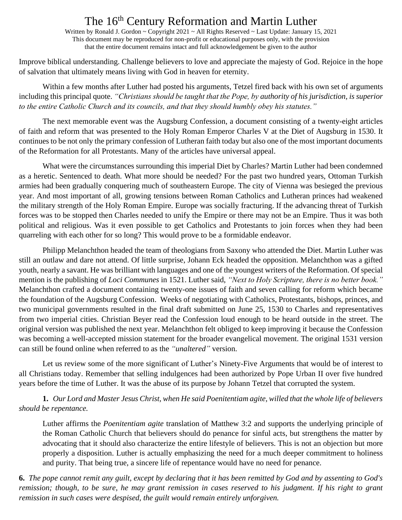Written by Ronald J. Gordon ~ Copyright 2021 ~ All Rights Reserved ~ Last Update: January 15, 2021 This document may be reproduced for non-profit or educational purposes only, with the provision that the entire document remains intact and full acknowledgement be given to the author

Improve biblical understanding. Challenge believers to love and appreciate the majesty of God. Rejoice in the hope of salvation that ultimately means living with God in heaven for eternity.

Within a few months after Luther had posted his arguments, Tetzel fired back with his own set of arguments including this principal quote. *"Christians should be taught that the Pope, by authority of his jurisdiction, is superior to the entire Catholic Church and its councils, and that they should humbly obey his statutes."*

The next memorable event was the Augsburg Confession, a document consisting of a twenty-eight articles of faith and reform that was presented to the Holy Roman Emperor Charles V at the Diet of Augsburg in 1530. It continues to be not only the primary confession of Lutheran faith today but also one of the most important documents of the Reformation for all Protestants. Many of the articles have universal appeal.

What were the circumstances surrounding this imperial Diet by Charles? Martin Luther had been condemned as a heretic. Sentenced to death. What more should be needed? For the past two hundred years, Ottoman Turkish armies had been gradually conquering much of southeastern Europe. The city of Vienna was besieged the previous year. And most important of all, growing tensions between Roman Catholics and Lutheran princes had weakened the military strength of the Holy Roman Empire. Europe was socially fracturing. If the advancing threat of Turkish forces was to be stopped then Charles needed to unify the Empire or there may not be an Empire. Thus it was both political and religious. Was it even possible to get Catholics and Protestants to join forces when they had been quarreling with each other for so long? This would prove to be a formidable endeavor.

Philipp Melanchthon headed the team of theologians from Saxony who attended the Diet. Martin Luther was still an outlaw and dare not attend. Of little surprise, Johann Eck headed the opposition. Melanchthon was a gifted youth, nearly a savant. He was brilliant with languages and one of the youngest writers of the Reformation. Of special mention is the publishing of *Loci Communes* in 1521. Luther said, *"Next to Holy Scripture, there is no better book."* Melanchthon crafted a document containing twenty-one issues of faith and seven calling for reform which became the foundation of the Augsburg Confession. Weeks of negotiating with Catholics, Protestants, bishops, princes, and two municipal governments resulted in the final draft submitted on June 25, 1530 to Charles and representatives from two imperial cities. Christian Beyer read the Confession loud enough to be heard outside in the street. The original version was published the next year. Melanchthon felt obliged to keep improving it because the Confession was becoming a well-accepted mission statement for the broader evangelical movement. The original 1531 version can still be found online when referred to as the *"unaltered"* version.

Let us review some of the more significant of Luther's Ninety-Five Arguments that would be of interest to all Christians today. Remember that selling indulgences had been authorized by Pope Urban II over five hundred years before the time of Luther. It was the abuse of its purpose by Johann Tetzel that corrupted the system.

**1.** *Our Lord and Master Jesus Christ, when He said Poenitentiam agite, willed that the whole life of believers should be repentance.*

Luther affirms the *Poenitentiam agite* translation of Matthew 3:2 and supports the underlying principle of the Roman Catholic Church that believers should do penance for sinful acts, but strengthens the matter by advocating that it should also characterize the entire lifestyle of believers. This is not an objection but more properly a disposition. Luther is actually emphasizing the need for a much deeper commitment to holiness and purity. That being true, a sincere life of repentance would have no need for penance.

**6.** *The pope cannot remit any guilt, except by declaring that it has been remitted by God and by assenting to God's*  remission; though, to be sure, he may grant remission in cases reserved to his judgment. If his right to grant *remission in such cases were despised, the guilt would remain entirely unforgiven.*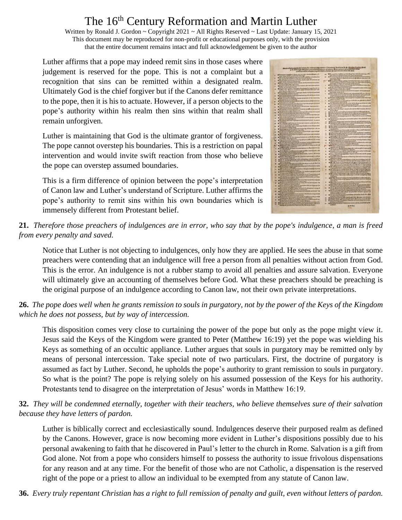Written by Ronald J. Gordon ~ Copyright 2021 ~ All Rights Reserved ~ Last Update: January 15, 2021 This document may be reproduced for non-profit or educational purposes only, with the provision that the entire document remains intact and full acknowledgement be given to the author

Luther affirms that a pope may indeed remit sins in those cases where judgement is reserved for the pope. This is not a complaint but a recognition that sins can be remitted within a designated realm. Ultimately God is the chief forgiver but if the Canons defer remittance to the pope, then it is his to actuate. However, if a person objects to the pope's authority within his realm then sins within that realm shall remain unforgiven.

Luther is maintaining that God is the ultimate grantor of forgiveness. The pope cannot overstep his boundaries. This is a restriction on papal intervention and would invite swift reaction from those who believe the pope can overstep assumed boundaries.

This is a firm difference of opinion between the pope's interpretation of Canon law and Luther's understand of Scripture. Luther affirms the pope's authority to remit sins within his own boundaries which is immensely different from Protestant belief.



**21.** *Therefore those preachers of indulgences are in error, who say that by the pope's indulgence, a man is freed from every penalty and saved.*

Notice that Luther is not objecting to indulgences, only how they are applied. He sees the abuse in that some preachers were contending that an indulgence will free a person from all penalties without action from God. This is the error. An indulgence is not a rubber stamp to avoid all penalties and assure salvation. Everyone will ultimately give an accounting of themselves before God. What these preachers should be preaching is the original purpose of an indulgence according to Canon law, not their own private interpretations.

#### **26.** *The pope does well when he grants remission to souls in purgatory, not by the power of the Keys of the Kingdom which he does not possess, but by way of intercession.*

This disposition comes very close to curtaining the power of the pope but only as the pope might view it. Jesus said the Keys of the Kingdom were granted to Peter (Matthew 16:19) yet the pope was wielding his Keys as something of an occultic appliance. Luther argues that souls in purgatory may be remitted only by means of personal intercession. Take special note of two particulars. First, the doctrine of purgatory is assumed as fact by Luther. Second, he upholds the pope's authority to grant remission to souls in purgatory. So what is the point? The pope is relying solely on his assumed possession of the Keys for his authority. Protestants tend to disagree on the interpretation of Jesus' words in Matthew 16:19.

**32.** *They will be condemned eternally, together with their teachers, who believe themselves sure of their salvation because they have letters of pardon.* 

Luther is biblically correct and ecclesiastically sound. Indulgences deserve their purposed realm as defined by the Canons. However, grace is now becoming more evident in Luther's dispositions possibly due to his personal awakening to faith that he discovered in Paul's letter to the church in Rome. Salvation is a gift from God alone. Not from a pope who considers himself to possess the authority to issue frivolous dispensations for any reason and at any time. For the benefit of those who are not Catholic, a dispensation is the reserved right of the pope or a priest to allow an individual to be exempted from any statute of Canon law.

**36.** *Every truly repentant Christian has a right to full remission of penalty and guilt, even without letters of pardon.*